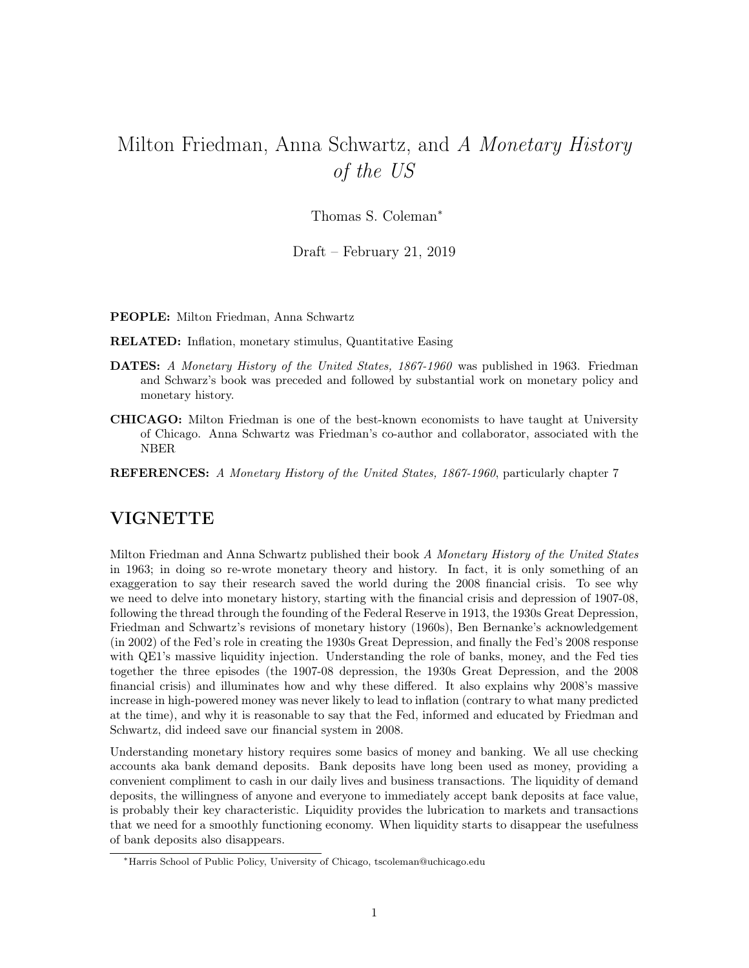## Milton Friedman, Anna Schwartz, and A Monetary History of the US

Thomas S. Coleman<sup>∗</sup>

Draft – February 21, 2019

PEOPLE: Milton Friedman, Anna Schwartz

RELATED: Inflation, monetary stimulus, Quantitative Easing

- DATES: A Monetary History of the United States, 1867-1960 was published in 1963. Friedman and Schwarz's book was preceded and followed by substantial work on monetary policy and monetary history.
- CHICAGO: Milton Friedman is one of the best-known economists to have taught at University of Chicago. Anna Schwartz was Friedman's co-author and collaborator, associated with the NBER
- REFERENCES: A Monetary History of the United States, 1867-1960, particularly chapter 7

## VIGNETTE

Milton Friedman and Anna Schwartz published their book A Monetary History of the United States in 1963; in doing so re-wrote monetary theory and history. In fact, it is only something of an exaggeration to say their research saved the world during the 2008 financial crisis. To see why we need to delve into monetary history, starting with the financial crisis and depression of 1907-08, following the thread through the founding of the Federal Reserve in 1913, the 1930s Great Depression, Friedman and Schwartz's revisions of monetary history (1960s), Ben Bernanke's acknowledgement (in 2002) of the Fed's role in creating the 1930s Great Depression, and finally the Fed's 2008 response with QE1's massive liquidity injection. Understanding the role of banks, money, and the Fed ties together the three episodes (the 1907-08 depression, the 1930s Great Depression, and the 2008 financial crisis) and illuminates how and why these differed. It also explains why 2008's massive increase in high-powered money was never likely to lead to inflation (contrary to what many predicted at the time), and why it is reasonable to say that the Fed, informed and educated by Friedman and Schwartz, did indeed save our financial system in 2008.

Understanding monetary history requires some basics of money and banking. We all use checking accounts aka bank demand deposits. Bank deposits have long been used as money, providing a convenient compliment to cash in our daily lives and business transactions. The liquidity of demand deposits, the willingness of anyone and everyone to immediately accept bank deposits at face value, is probably their key characteristic. Liquidity provides the lubrication to markets and transactions that we need for a smoothly functioning economy. When liquidity starts to disappear the usefulness of bank deposits also disappears.

<sup>∗</sup>Harris School of Public Policy, University of Chicago, tscoleman@uchicago.edu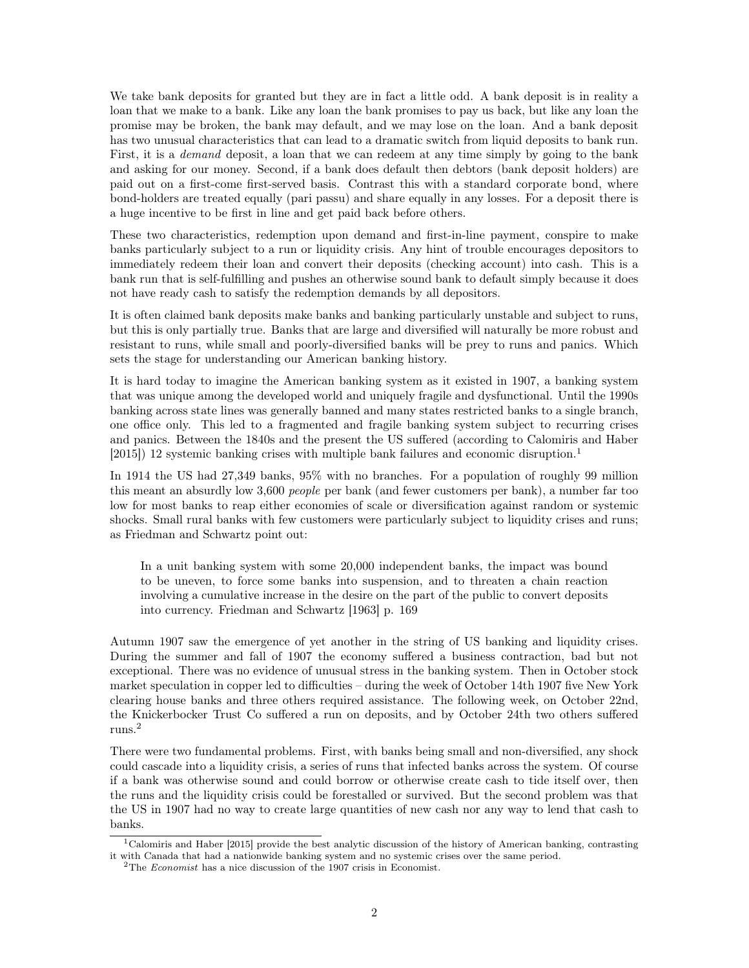We take bank deposits for granted but they are in fact a little odd. A bank deposit is in reality a loan that we make to a bank. Like any loan the bank promises to pay us back, but like any loan the promise may be broken, the bank may default, and we may lose on the loan. And a bank deposit has two unusual characteristics that can lead to a dramatic switch from liquid deposits to bank run. First, it is a *demand* deposit, a loan that we can redeem at any time simply by going to the bank and asking for our money. Second, if a bank does default then debtors (bank deposit holders) are paid out on a first-come first-served basis. Contrast this with a standard corporate bond, where bond-holders are treated equally (pari passu) and share equally in any losses. For a deposit there is a huge incentive to be first in line and get paid back before others.

These two characteristics, redemption upon demand and first-in-line payment, conspire to make banks particularly subject to a run or liquidity crisis. Any hint of trouble encourages depositors to immediately redeem their loan and convert their deposits (checking account) into cash. This is a bank run that is self-fulfilling and pushes an otherwise sound bank to default simply because it does not have ready cash to satisfy the redemption demands by all depositors.

It is often claimed bank deposits make banks and banking particularly unstable and subject to runs, but this is only partially true. Banks that are large and diversified will naturally be more robust and resistant to runs, while small and poorly-diversified banks will be prey to runs and panics. Which sets the stage for understanding our American banking history.

It is hard today to imagine the American banking system as it existed in 1907, a banking system that was unique among the developed world and uniquely fragile and dysfunctional. Until the 1990s banking across state lines was generally banned and many states restricted banks to a single branch, one office only. This led to a fragmented and fragile banking system subject to recurring crises and panics. Between the 1840s and the present the US suffered (according to Calomiris and Haber  $[2015]$ ) 12 systemic banking crises with multiple bank failures and economic disruption.<sup>1</sup>

In 1914 the US had 27,349 banks, 95% with no branches. For a population of roughly 99 million this meant an absurdly low 3,600 people per bank (and fewer customers per bank), a number far too low for most banks to reap either economies of scale or diversification against random or systemic shocks. Small rural banks with few customers were particularly subject to liquidity crises and runs; as Friedman and Schwartz point out:

In a unit banking system with some 20,000 independent banks, the impact was bound to be uneven, to force some banks into suspension, and to threaten a chain reaction involving a cumulative increase in the desire on the part of the public to convert deposits into currency. Friedman and Schwartz [1963] p. 169

Autumn 1907 saw the emergence of yet another in the string of US banking and liquidity crises. During the summer and fall of 1907 the economy suffered a business contraction, bad but not exceptional. There was no evidence of unusual stress in the banking system. Then in October stock market speculation in copper led to difficulties – during the week of October 14th 1907 five New York clearing house banks and three others required assistance. The following week, on October 22nd, the Knickerbocker Trust Co suffered a run on deposits, and by October 24th two others suffered runs.<sup>2</sup>

There were two fundamental problems. First, with banks being small and non-diversified, any shock could cascade into a liquidity crisis, a series of runs that infected banks across the system. Of course if a bank was otherwise sound and could borrow or otherwise create cash to tide itself over, then the runs and the liquidity crisis could be forestalled or survived. But the second problem was that the US in 1907 had no way to create large quantities of new cash nor any way to lend that cash to banks.

<sup>&</sup>lt;sup>1</sup>Calomiris and Haber [2015] provide the best analytic discussion of the history of American banking, contrasting it with Canada that had a nationwide banking system and no systemic crises over the same period.

<sup>2</sup>The Economist has a nice discussion of the 1907 crisis in Economist.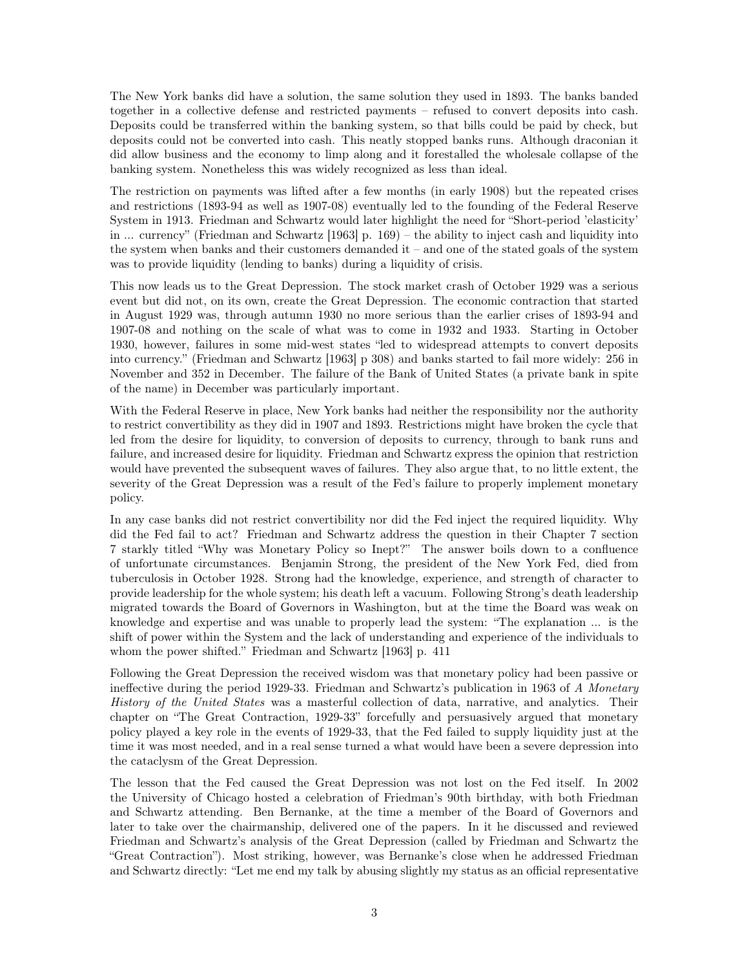The New York banks did have a solution, the same solution they used in 1893. The banks banded together in a collective defense and restricted payments – refused to convert deposits into cash. Deposits could be transferred within the banking system, so that bills could be paid by check, but deposits could not be converted into cash. This neatly stopped banks runs. Although draconian it did allow business and the economy to limp along and it forestalled the wholesale collapse of the banking system. Nonetheless this was widely recognized as less than ideal.

The restriction on payments was lifted after a few months (in early 1908) but the repeated crises and restrictions (1893-94 as well as 1907-08) eventually led to the founding of the Federal Reserve System in 1913. Friedman and Schwartz would later highlight the need for "Short-period 'elasticity' in ... currency" (Friedman and Schwartz [1963] p. 169) – the ability to inject cash and liquidity into the system when banks and their customers demanded it – and one of the stated goals of the system was to provide liquidity (lending to banks) during a liquidity of crisis.

This now leads us to the Great Depression. The stock market crash of October 1929 was a serious event but did not, on its own, create the Great Depression. The economic contraction that started in August 1929 was, through autumn 1930 no more serious than the earlier crises of 1893-94 and 1907-08 and nothing on the scale of what was to come in 1932 and 1933. Starting in October 1930, however, failures in some mid-west states "led to widespread attempts to convert deposits into currency." (Friedman and Schwartz [1963] p 308) and banks started to fail more widely: 256 in November and 352 in December. The failure of the Bank of United States (a private bank in spite of the name) in December was particularly important.

With the Federal Reserve in place, New York banks had neither the responsibility nor the authority to restrict convertibility as they did in 1907 and 1893. Restrictions might have broken the cycle that led from the desire for liquidity, to conversion of deposits to currency, through to bank runs and failure, and increased desire for liquidity. Friedman and Schwartz express the opinion that restriction would have prevented the subsequent waves of failures. They also argue that, to no little extent, the severity of the Great Depression was a result of the Fed's failure to properly implement monetary policy.

In any case banks did not restrict convertibility nor did the Fed inject the required liquidity. Why did the Fed fail to act? Friedman and Schwartz address the question in their Chapter 7 section 7 starkly titled "Why was Monetary Policy so Inept?" The answer boils down to a confluence of unfortunate circumstances. Benjamin Strong, the president of the New York Fed, died from tuberculosis in October 1928. Strong had the knowledge, experience, and strength of character to provide leadership for the whole system; his death left a vacuum. Following Strong's death leadership migrated towards the Board of Governors in Washington, but at the time the Board was weak on knowledge and expertise and was unable to properly lead the system: "The explanation ... is the shift of power within the System and the lack of understanding and experience of the individuals to whom the power shifted." Friedman and Schwartz [1963] p. 411

Following the Great Depression the received wisdom was that monetary policy had been passive or ineffective during the period 1929-33. Friedman and Schwartz's publication in 1963 of A Monetary History of the United States was a masterful collection of data, narrative, and analytics. Their chapter on "The Great Contraction, 1929-33" forcefully and persuasively argued that monetary policy played a key role in the events of 1929-33, that the Fed failed to supply liquidity just at the time it was most needed, and in a real sense turned a what would have been a severe depression into the cataclysm of the Great Depression.

The lesson that the Fed caused the Great Depression was not lost on the Fed itself. In 2002 the University of Chicago hosted a celebration of Friedman's 90th birthday, with both Friedman and Schwartz attending. Ben Bernanke, at the time a member of the Board of Governors and later to take over the chairmanship, delivered one of the papers. In it he discussed and reviewed Friedman and Schwartz's analysis of the Great Depression (called by Friedman and Schwartz the "Great Contraction"). Most striking, however, was Bernanke's close when he addressed Friedman and Schwartz directly: "Let me end my talk by abusing slightly my status as an official representative